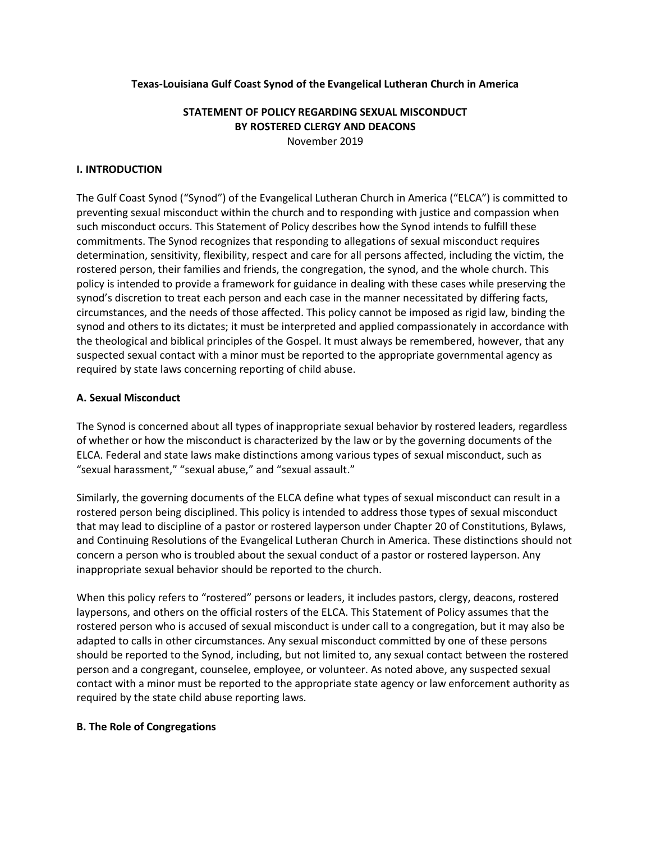#### **Texas-Louisiana Gulf Coast Synod of the Evangelical Lutheran Church in America**

## **STATEMENT OF POLICY REGARDING SEXUAL MISCONDUCT BY ROSTERED CLERGY AND DEACONS** November 2019

#### **I. INTRODUCTION**

The Gulf Coast Synod ("Synod") of the Evangelical Lutheran Church in America ("ELCA") is committed to preventing sexual misconduct within the church and to responding with justice and compassion when such misconduct occurs. This Statement of Policy describes how the Synod intends to fulfill these commitments. The Synod recognizes that responding to allegations of sexual misconduct requires determination, sensitivity, flexibility, respect and care for all persons affected, including the victim, the rostered person, their families and friends, the congregation, the synod, and the whole church. This policy is intended to provide a framework for guidance in dealing with these cases while preserving the synod's discretion to treat each person and each case in the manner necessitated by differing facts, circumstances, and the needs of those affected. This policy cannot be imposed as rigid law, binding the synod and others to its dictates; it must be interpreted and applied compassionately in accordance with the theological and biblical principles of the Gospel. It must always be remembered, however, that any suspected sexual contact with a minor must be reported to the appropriate governmental agency as required by state laws concerning reporting of child abuse.

#### **A. Sexual Misconduct**

The Synod is concerned about all types of inappropriate sexual behavior by rostered leaders, regardless of whether or how the misconduct is characterized by the law or by the governing documents of the ELCA. Federal and state laws make distinctions among various types of sexual misconduct, such as "sexual harassment," "sexual abuse," and "sexual assault."

Similarly, the governing documents of the ELCA define what types of sexual misconduct can result in a rostered person being disciplined. This policy is intended to address those types of sexual misconduct that may lead to discipline of a pastor or rostered layperson under Chapter 20 of Constitutions, Bylaws, and Continuing Resolutions of the Evangelical Lutheran Church in America. These distinctions should not concern a person who is troubled about the sexual conduct of a pastor or rostered layperson. Any inappropriate sexual behavior should be reported to the church.

When this policy refers to "rostered" persons or leaders, it includes pastors, clergy, deacons, rostered laypersons, and others on the official rosters of the ELCA. This Statement of Policy assumes that the rostered person who is accused of sexual misconduct is under call to a congregation, but it may also be adapted to calls in other circumstances. Any sexual misconduct committed by one of these persons should be reported to the Synod, including, but not limited to, any sexual contact between the rostered person and a congregant, counselee, employee, or volunteer. As noted above, any suspected sexual contact with a minor must be reported to the appropriate state agency or law enforcement authority as required by the state child abuse reporting laws.

#### **B. The Role of Congregations**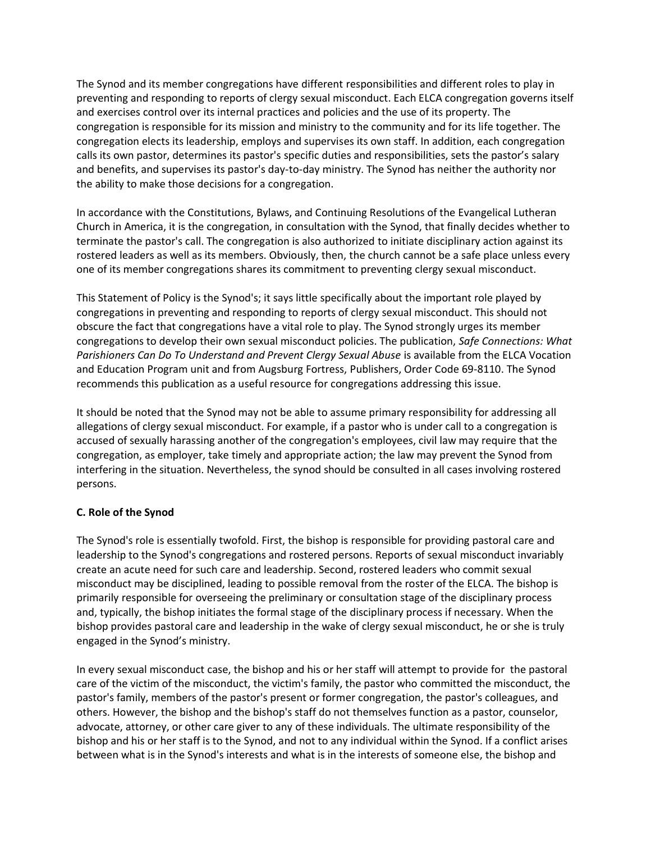The Synod and its member congregations have different responsibilities and different roles to play in preventing and responding to reports of clergy sexual misconduct. Each ELCA congregation governs itself and exercises control over its internal practices and policies and the use of its property. The congregation is responsible for its mission and ministry to the community and for its life together. The congregation elects its leadership, employs and supervises its own staff. In addition, each congregation calls its own pastor, determines its pastor's specific duties and responsibilities, sets the pastor's salary and benefits, and supervises its pastor's day-to-day ministry. The Synod has neither the authority nor the ability to make those decisions for a congregation.

In accordance with the Constitutions, Bylaws, and Continuing Resolutions of the Evangelical Lutheran Church in America, it is the congregation, in consultation with the Synod, that finally decides whether to terminate the pastor's call. The congregation is also authorized to initiate disciplinary action against its rostered leaders as well as its members. Obviously, then, the church cannot be a safe place unless every one of its member congregations shares its commitment to preventing clergy sexual misconduct.

This Statement of Policy is the Synod's; it says little specifically about the important role played by congregations in preventing and responding to reports of clergy sexual misconduct. This should not obscure the fact that congregations have a vital role to play. The Synod strongly urges its member congregations to develop their own sexual misconduct policies. The publication, *Safe Connections: What Parishioners Can Do To Understand and Prevent Clergy Sexual Abuse* is available from the ELCA Vocation and Education Program unit and from Augsburg Fortress, Publishers, Order Code 69-8110. The Synod recommends this publication as a useful resource for congregations addressing this issue.

It should be noted that the Synod may not be able to assume primary responsibility for addressing all allegations of clergy sexual misconduct. For example, if a pastor who is under call to a congregation is accused of sexually harassing another of the congregation's employees, civil law may require that the congregation, as employer, take timely and appropriate action; the law may prevent the Synod from interfering in the situation. Nevertheless, the synod should be consulted in all cases involving rostered persons.

### **C. Role of the Synod**

The Synod's role is essentially twofold. First, the bishop is responsible for providing pastoral care and leadership to the Synod's congregations and rostered persons. Reports of sexual misconduct invariably create an acute need for such care and leadership. Second, rostered leaders who commit sexual misconduct may be disciplined, leading to possible removal from the roster of the ELCA. The bishop is primarily responsible for overseeing the preliminary or consultation stage of the disciplinary process and, typically, the bishop initiates the formal stage of the disciplinary process if necessary. When the bishop provides pastoral care and leadership in the wake of clergy sexual misconduct, he or she is truly engaged in the Synod's ministry.

In every sexual misconduct case, the bishop and his or her staff will attempt to provide for the pastoral care of the victim of the misconduct, the victim's family, the pastor who committed the misconduct, the pastor's family, members of the pastor's present or former congregation, the pastor's colleagues, and others. However, the bishop and the bishop's staff do not themselves function as a pastor, counselor, advocate, attorney, or other care giver to any of these individuals. The ultimate responsibility of the bishop and his or her staff is to the Synod, and not to any individual within the Synod. If a conflict arises between what is in the Synod's interests and what is in the interests of someone else, the bishop and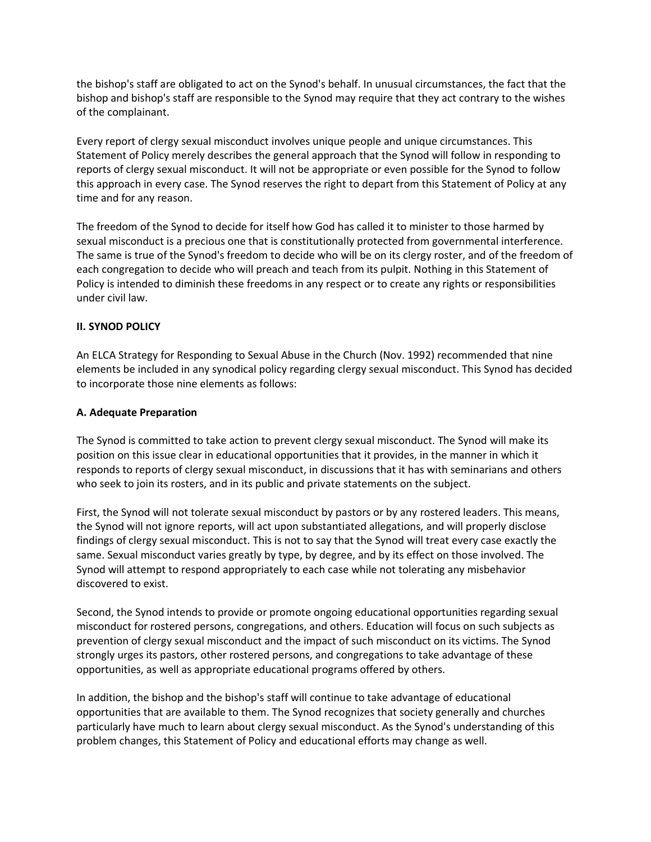the bishop's staff are obligated to act on the Synod's behalf. In unusual circumstances, the fact that the bishop and bishop's staff are responsible to the Synod may require that they act contrary to the wishes of the complainant.

Every report of clergy sexual misconduct involves unique people and unique circumstances. This Statement of Policy merely describes the general approach that the Synod will follow in responding to reports of clergy sexual misconduct. It will not be appropriate or even possible for the Synod to follow this approach in every case. The Synod reserves the right to depart from this Statement of Policy at any time and for any reason.

The freedom of the Synod to decide for itself how God has called it to minister to those harmed by sexual misconduct is a precious one that is constitutionally protected from governmental interference. The same is true of the Synod's freedom to decide who will be on its clergy roster, and of the freedom of each congregation to decide who will preach and teach from its pulpit. Nothing in this Statement of Policy is intended to diminish these freedoms in any respect or to create any rights or responsibilities under civil law.

### **II. SYNOD POLICY**

An ELCA Strategy for Responding to Sexual Abuse in the Church (Nov. 1992) recommended that nine elements be included in any synodical policy regarding clergy sexual misconduct. This Synod has decided to incorporate those nine elements as follows:

#### **A. Adequate Preparation**

The Synod is committed to take action to prevent clergy sexual misconduct. The Synod will make its position on this issue clear in educational opportunities that it provides, in the manner in which it responds to reports of clergy sexual misconduct, in discussions that it has with seminarians and others who seek to join its rosters, and in its public and private statements on the subject.

First, the Synod will not tolerate sexual misconduct by pastors or by any rostered leaders. This means, the Synod will not ignore reports, will act upon substantiated allegations, and will properly disclose findings of clergy sexual misconduct. This is not to say that the Synod will treat every case exactly the same. Sexual misconduct varies greatly by type, by degree, and by its effect on those involved. The Synod will attempt to respond appropriately to each case while not tolerating any misbehavior discovered to exist.

Second, the Synod intends to provide or promote ongoing educational opportunities regarding sexual misconduct for rostered persons, congregations, and others. Education will focus on such subjects as prevention of clergy sexual misconduct and the impact of such misconduct on its victims. The Synod strongly urges its pastors, other rostered persons, and congregations to take advantage of these opportunities, as well as appropriate educational programs offered by others.

In addition, the bishop and the bishop's staff will continue to take advantage of educational opportunities that are available to them. The Synod recognizes that society generally and churches particularly have much to learn about clergy sexual misconduct. As the Synod's understanding of this problem changes, this Statement of Policy and educational efforts may change as well.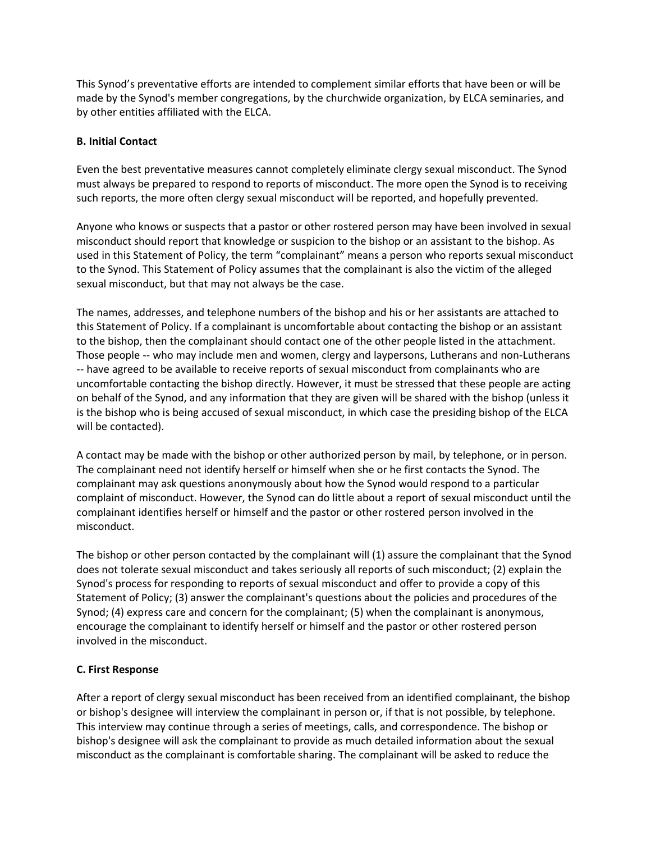This Synod's preventative efforts are intended to complement similar efforts that have been or will be made by the Synod's member congregations, by the churchwide organization, by ELCA seminaries, and by other entities affiliated with the ELCA.

### **B. Initial Contact**

Even the best preventative measures cannot completely eliminate clergy sexual misconduct. The Synod must always be prepared to respond to reports of misconduct. The more open the Synod is to receiving such reports, the more often clergy sexual misconduct will be reported, and hopefully prevented.

Anyone who knows or suspects that a pastor or other rostered person may have been involved in sexual misconduct should report that knowledge or suspicion to the bishop or an assistant to the bishop. As used in this Statement of Policy, the term "complainant" means a person who reports sexual misconduct to the Synod. This Statement of Policy assumes that the complainant is also the victim of the alleged sexual misconduct, but that may not always be the case.

The names, addresses, and telephone numbers of the bishop and his or her assistants are attached to this Statement of Policy. If a complainant is uncomfortable about contacting the bishop or an assistant to the bishop, then the complainant should contact one of the other people listed in the attachment. Those people -- who may include men and women, clergy and laypersons, Lutherans and non-Lutherans -- have agreed to be available to receive reports of sexual misconduct from complainants who are uncomfortable contacting the bishop directly. However, it must be stressed that these people are acting on behalf of the Synod, and any information that they are given will be shared with the bishop (unless it is the bishop who is being accused of sexual misconduct, in which case the presiding bishop of the ELCA will be contacted).

A contact may be made with the bishop or other authorized person by mail, by telephone, or in person. The complainant need not identify herself or himself when she or he first contacts the Synod. The complainant may ask questions anonymously about how the Synod would respond to a particular complaint of misconduct. However, the Synod can do little about a report of sexual misconduct until the complainant identifies herself or himself and the pastor or other rostered person involved in the misconduct.

The bishop or other person contacted by the complainant will (1) assure the complainant that the Synod does not tolerate sexual misconduct and takes seriously all reports of such misconduct; (2) explain the Synod's process for responding to reports of sexual misconduct and offer to provide a copy of this Statement of Policy; (3) answer the complainant's questions about the policies and procedures of the Synod; (4) express care and concern for the complainant; (5) when the complainant is anonymous, encourage the complainant to identify herself or himself and the pastor or other rostered person involved in the misconduct.

## **C. First Response**

After a report of clergy sexual misconduct has been received from an identified complainant, the bishop or bishop's designee will interview the complainant in person or, if that is not possible, by telephone. This interview may continue through a series of meetings, calls, and correspondence. The bishop or bishop's designee will ask the complainant to provide as much detailed information about the sexual misconduct as the complainant is comfortable sharing. The complainant will be asked to reduce the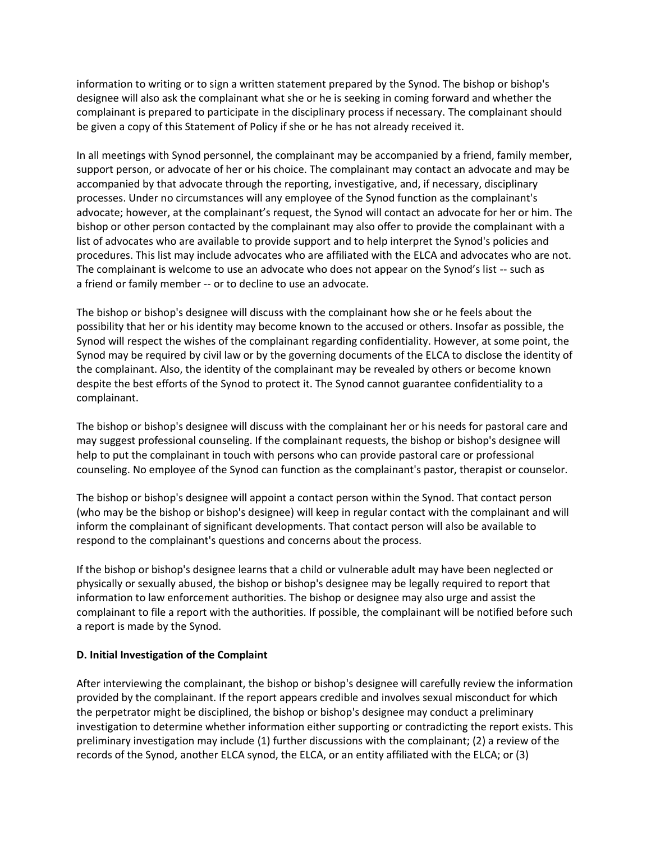information to writing or to sign a written statement prepared by the Synod. The bishop or bishop's designee will also ask the complainant what she or he is seeking in coming forward and whether the complainant is prepared to participate in the disciplinary process if necessary. The complainant should be given a copy of this Statement of Policy if she or he has not already received it.

In all meetings with Synod personnel, the complainant may be accompanied by a friend, family member, support person, or advocate of her or his choice. The complainant may contact an advocate and may be accompanied by that advocate through the reporting, investigative, and, if necessary, disciplinary processes. Under no circumstances will any employee of the Synod function as the complainant's advocate; however, at the complainant's request, the Synod will contact an advocate for her or him. The bishop or other person contacted by the complainant may also offer to provide the complainant with a list of advocates who are available to provide support and to help interpret the Synod's policies and procedures. This list may include advocates who are affiliated with the ELCA and advocates who are not. The complainant is welcome to use an advocate who does not appear on the Synod's list -- such as a friend or family member -- or to decline to use an advocate.

The bishop or bishop's designee will discuss with the complainant how she or he feels about the possibility that her or his identity may become known to the accused or others. Insofar as possible, the Synod will respect the wishes of the complainant regarding confidentiality. However, at some point, the Synod may be required by civil law or by the governing documents of the ELCA to disclose the identity of the complainant. Also, the identity of the complainant may be revealed by others or become known despite the best efforts of the Synod to protect it. The Synod cannot guarantee confidentiality to a complainant.

The bishop or bishop's designee will discuss with the complainant her or his needs for pastoral care and may suggest professional counseling. If the complainant requests, the bishop or bishop's designee will help to put the complainant in touch with persons who can provide pastoral care or professional counseling. No employee of the Synod can function as the complainant's pastor, therapist or counselor.

The bishop or bishop's designee will appoint a contact person within the Synod. That contact person (who may be the bishop or bishop's designee) will keep in regular contact with the complainant and will inform the complainant of significant developments. That contact person will also be available to respond to the complainant's questions and concerns about the process.

If the bishop or bishop's designee learns that a child or vulnerable adult may have been neglected or physically or sexually abused, the bishop or bishop's designee may be legally required to report that information to law enforcement authorities. The bishop or designee may also urge and assist the complainant to file a report with the authorities. If possible, the complainant will be notified before such a report is made by the Synod.

### **D. Initial Investigation of the Complaint**

After interviewing the complainant, the bishop or bishop's designee will carefully review the information provided by the complainant. If the report appears credible and involves sexual misconduct for which the perpetrator might be disciplined, the bishop or bishop's designee may conduct a preliminary investigation to determine whether information either supporting or contradicting the report exists. This preliminary investigation may include (1) further discussions with the complainant; (2) a review of the records of the Synod, another ELCA synod, the ELCA, or an entity affiliated with the ELCA; or (3)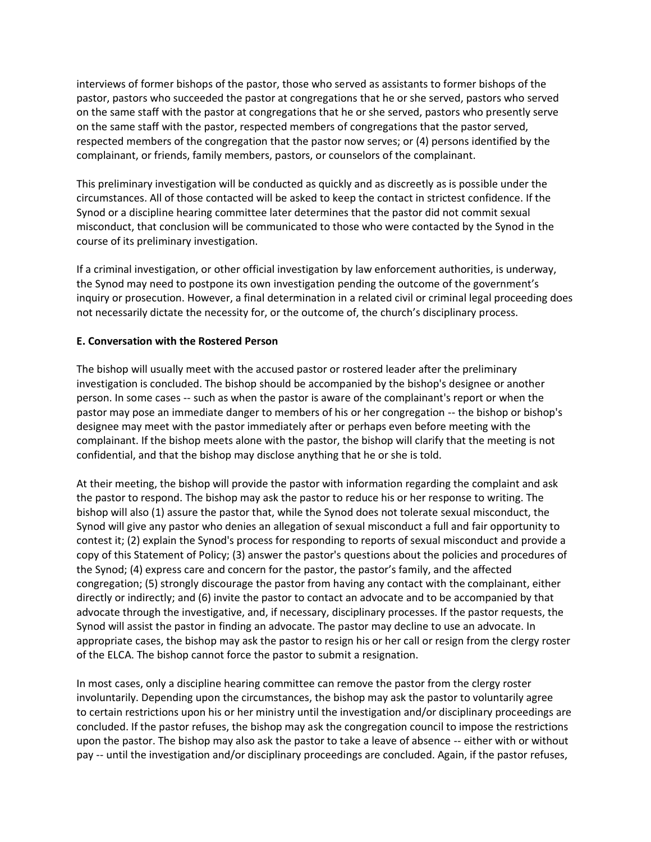interviews of former bishops of the pastor, those who served as assistants to former bishops of the pastor, pastors who succeeded the pastor at congregations that he or she served, pastors who served on the same staff with the pastor at congregations that he or she served, pastors who presently serve on the same staff with the pastor, respected members of congregations that the pastor served, respected members of the congregation that the pastor now serves; or (4) persons identified by the complainant, or friends, family members, pastors, or counselors of the complainant.

This preliminary investigation will be conducted as quickly and as discreetly as is possible under the circumstances. All of those contacted will be asked to keep the contact in strictest confidence. If the Synod or a discipline hearing committee later determines that the pastor did not commit sexual misconduct, that conclusion will be communicated to those who were contacted by the Synod in the course of its preliminary investigation.

If a criminal investigation, or other official investigation by law enforcement authorities, is underway, the Synod may need to postpone its own investigation pending the outcome of the government's inquiry or prosecution. However, a final determination in a related civil or criminal legal proceeding does not necessarily dictate the necessity for, or the outcome of, the church's disciplinary process.

### **E. Conversation with the Rostered Person**

The bishop will usually meet with the accused pastor or rostered leader after the preliminary investigation is concluded. The bishop should be accompanied by the bishop's designee or another person. In some cases -- such as when the pastor is aware of the complainant's report or when the pastor may pose an immediate danger to members of his or her congregation -- the bishop or bishop's designee may meet with the pastor immediately after or perhaps even before meeting with the complainant. If the bishop meets alone with the pastor, the bishop will clarify that the meeting is not confidential, and that the bishop may disclose anything that he or she is told.

At their meeting, the bishop will provide the pastor with information regarding the complaint and ask the pastor to respond. The bishop may ask the pastor to reduce his or her response to writing. The bishop will also (1) assure the pastor that, while the Synod does not tolerate sexual misconduct, the Synod will give any pastor who denies an allegation of sexual misconduct a full and fair opportunity to contest it; (2) explain the Synod's process for responding to reports of sexual misconduct and provide a copy of this Statement of Policy; (3) answer the pastor's questions about the policies and procedures of the Synod; (4) express care and concern for the pastor, the pastor's family, and the affected congregation; (5) strongly discourage the pastor from having any contact with the complainant, either directly or indirectly; and (6) invite the pastor to contact an advocate and to be accompanied by that advocate through the investigative, and, if necessary, disciplinary processes. If the pastor requests, the Synod will assist the pastor in finding an advocate. The pastor may decline to use an advocate. In appropriate cases, the bishop may ask the pastor to resign his or her call or resign from the clergy roster of the ELCA. The bishop cannot force the pastor to submit a resignation.

In most cases, only a discipline hearing committee can remove the pastor from the clergy roster involuntarily. Depending upon the circumstances, the bishop may ask the pastor to voluntarily agree to certain restrictions upon his or her ministry until the investigation and/or disciplinary proceedings are concluded. If the pastor refuses, the bishop may ask the congregation council to impose the restrictions upon the pastor. The bishop may also ask the pastor to take a leave of absence -- either with or without pay -- until the investigation and/or disciplinary proceedings are concluded. Again, if the pastor refuses,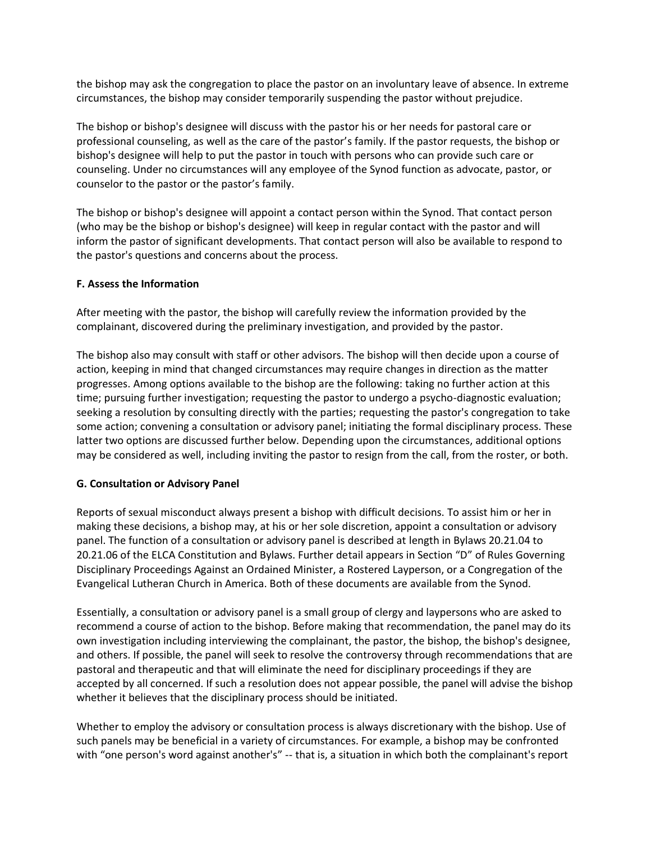the bishop may ask the congregation to place the pastor on an involuntary leave of absence. In extreme circumstances, the bishop may consider temporarily suspending the pastor without prejudice.

The bishop or bishop's designee will discuss with the pastor his or her needs for pastoral care or professional counseling, as well as the care of the pastor's family. If the pastor requests, the bishop or bishop's designee will help to put the pastor in touch with persons who can provide such care or counseling. Under no circumstances will any employee of the Synod function as advocate, pastor, or counselor to the pastor or the pastor's family.

The bishop or bishop's designee will appoint a contact person within the Synod. That contact person (who may be the bishop or bishop's designee) will keep in regular contact with the pastor and will inform the pastor of significant developments. That contact person will also be available to respond to the pastor's questions and concerns about the process.

### **F. Assess the Information**

After meeting with the pastor, the bishop will carefully review the information provided by the complainant, discovered during the preliminary investigation, and provided by the pastor.

The bishop also may consult with staff or other advisors. The bishop will then decide upon a course of action, keeping in mind that changed circumstances may require changes in direction as the matter progresses. Among options available to the bishop are the following: taking no further action at this time; pursuing further investigation; requesting the pastor to undergo a psycho-diagnostic evaluation; seeking a resolution by consulting directly with the parties; requesting the pastor's congregation to take some action; convening a consultation or advisory panel; initiating the formal disciplinary process. These latter two options are discussed further below. Depending upon the circumstances, additional options may be considered as well, including inviting the pastor to resign from the call, from the roster, or both.

### **G. Consultation or Advisory Panel**

Reports of sexual misconduct always present a bishop with difficult decisions. To assist him or her in making these decisions, a bishop may, at his or her sole discretion, appoint a consultation or advisory panel. The function of a consultation or advisory panel is described at length in Bylaws 20.21.04 to 20.21.06 of the ELCA Constitution and Bylaws. Further detail appears in Section "D" of Rules Governing Disciplinary Proceedings Against an Ordained Minister, a Rostered Layperson, or a Congregation of the Evangelical Lutheran Church in America. Both of these documents are available from the Synod.

Essentially, a consultation or advisory panel is a small group of clergy and laypersons who are asked to recommend a course of action to the bishop. Before making that recommendation, the panel may do its own investigation including interviewing the complainant, the pastor, the bishop, the bishop's designee, and others. If possible, the panel will seek to resolve the controversy through recommendations that are pastoral and therapeutic and that will eliminate the need for disciplinary proceedings if they are accepted by all concerned. If such a resolution does not appear possible, the panel will advise the bishop whether it believes that the disciplinary process should be initiated.

Whether to employ the advisory or consultation process is always discretionary with the bishop. Use of such panels may be beneficial in a variety of circumstances. For example, a bishop may be confronted with "one person's word against another's" -- that is, a situation in which both the complainant's report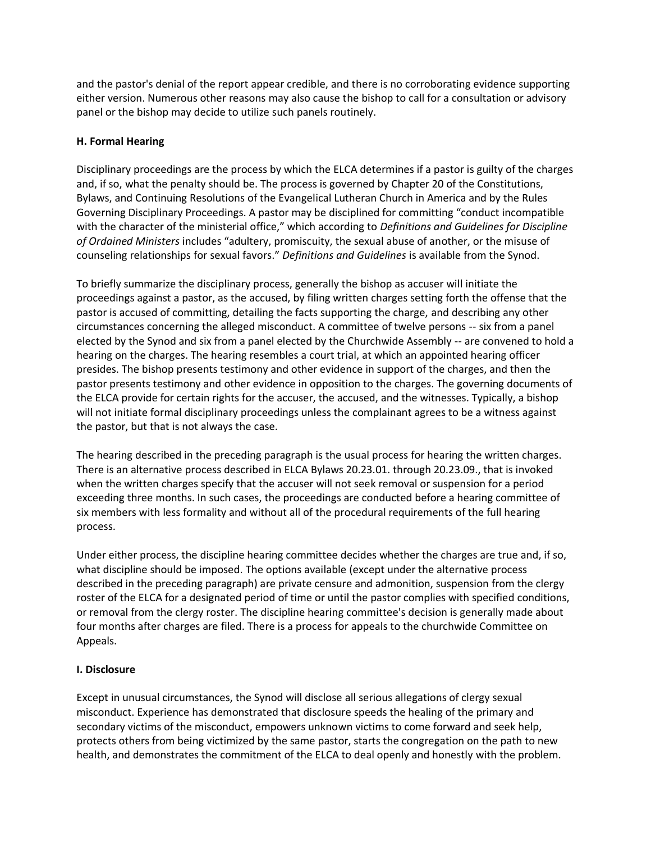and the pastor's denial of the report appear credible, and there is no corroborating evidence supporting either version. Numerous other reasons may also cause the bishop to call for a consultation or advisory panel or the bishop may decide to utilize such panels routinely.

## **H. Formal Hearing**

Disciplinary proceedings are the process by which the ELCA determines if a pastor is guilty of the charges and, if so, what the penalty should be. The process is governed by Chapter 20 of the Constitutions, Bylaws, and Continuing Resolutions of the Evangelical Lutheran Church in America and by the Rules Governing Disciplinary Proceedings. A pastor may be disciplined for committing "conduct incompatible with the character of the ministerial office," which according to *Definitions and Guidelines for Discipline of Ordained Ministers* includes "adultery, promiscuity, the sexual abuse of another, or the misuse of counseling relationships for sexual favors." *Definitions and Guidelines* is available from the Synod.

To briefly summarize the disciplinary process, generally the bishop as accuser will initiate the proceedings against a pastor, as the accused, by filing written charges setting forth the offense that the pastor is accused of committing, detailing the facts supporting the charge, and describing any other circumstances concerning the alleged misconduct. A committee of twelve persons -- six from a panel elected by the Synod and six from a panel elected by the Churchwide Assembly -- are convened to hold a hearing on the charges. The hearing resembles a court trial, at which an appointed hearing officer presides. The bishop presents testimony and other evidence in support of the charges, and then the pastor presents testimony and other evidence in opposition to the charges. The governing documents of the ELCA provide for certain rights for the accuser, the accused, and the witnesses. Typically, a bishop will not initiate formal disciplinary proceedings unless the complainant agrees to be a witness against the pastor, but that is not always the case.

The hearing described in the preceding paragraph is the usual process for hearing the written charges. There is an alternative process described in ELCA Bylaws 20.23.01. through 20.23.09., that is invoked when the written charges specify that the accuser will not seek removal or suspension for a period exceeding three months. In such cases, the proceedings are conducted before a hearing committee of six members with less formality and without all of the procedural requirements of the full hearing process.

Under either process, the discipline hearing committee decides whether the charges are true and, if so, what discipline should be imposed. The options available (except under the alternative process described in the preceding paragraph) are private censure and admonition, suspension from the clergy roster of the ELCA for a designated period of time or until the pastor complies with specified conditions, or removal from the clergy roster. The discipline hearing committee's decision is generally made about four months after charges are filed. There is a process for appeals to the churchwide Committee on Appeals.

## **I. Disclosure**

Except in unusual circumstances, the Synod will disclose all serious allegations of clergy sexual misconduct. Experience has demonstrated that disclosure speeds the healing of the primary and secondary victims of the misconduct, empowers unknown victims to come forward and seek help, protects others from being victimized by the same pastor, starts the congregation on the path to new health, and demonstrates the commitment of the ELCA to deal openly and honestly with the problem.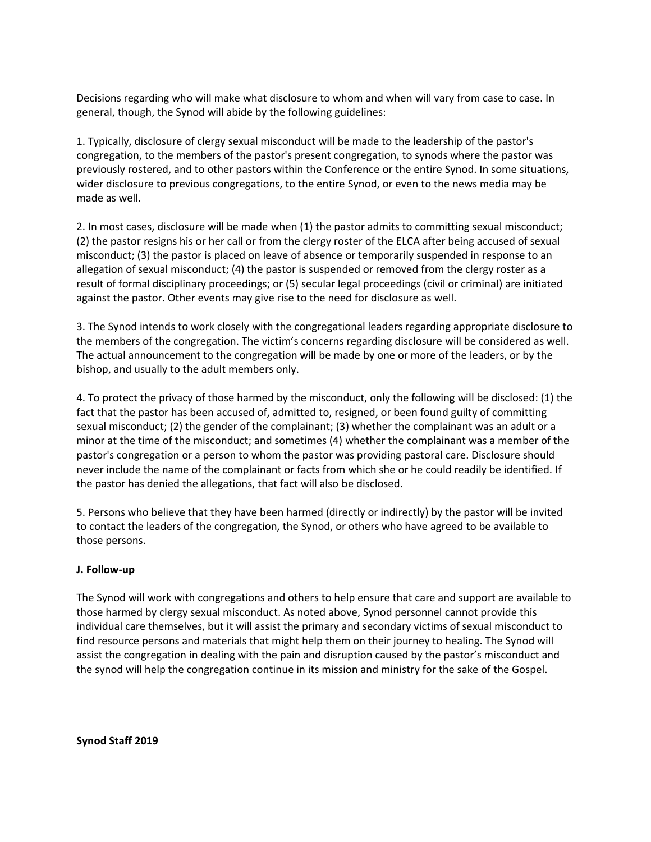Decisions regarding who will make what disclosure to whom and when will vary from case to case. In general, though, the Synod will abide by the following guidelines:

1. Typically, disclosure of clergy sexual misconduct will be made to the leadership of the pastor's congregation, to the members of the pastor's present congregation, to synods where the pastor was previously rostered, and to other pastors within the Conference or the entire Synod. In some situations, wider disclosure to previous congregations, to the entire Synod, or even to the news media may be made as well.

2. In most cases, disclosure will be made when (1) the pastor admits to committing sexual misconduct; (2) the pastor resigns his or her call or from the clergy roster of the ELCA after being accused of sexual misconduct; (3) the pastor is placed on leave of absence or temporarily suspended in response to an allegation of sexual misconduct; (4) the pastor is suspended or removed from the clergy roster as a result of formal disciplinary proceedings; or (5) secular legal proceedings (civil or criminal) are initiated against the pastor. Other events may give rise to the need for disclosure as well.

3. The Synod intends to work closely with the congregational leaders regarding appropriate disclosure to the members of the congregation. The victim's concerns regarding disclosure will be considered as well. The actual announcement to the congregation will be made by one or more of the leaders, or by the bishop, and usually to the adult members only.

4. To protect the privacy of those harmed by the misconduct, only the following will be disclosed: (1) the fact that the pastor has been accused of, admitted to, resigned, or been found guilty of committing sexual misconduct; (2) the gender of the complainant; (3) whether the complainant was an adult or a minor at the time of the misconduct; and sometimes (4) whether the complainant was a member of the pastor's congregation or a person to whom the pastor was providing pastoral care. Disclosure should never include the name of the complainant or facts from which she or he could readily be identified. If the pastor has denied the allegations, that fact will also be disclosed.

5. Persons who believe that they have been harmed (directly or indirectly) by the pastor will be invited to contact the leaders of the congregation, the Synod, or others who have agreed to be available to those persons.

### **J. Follow-up**

The Synod will work with congregations and others to help ensure that care and support are available to those harmed by clergy sexual misconduct. As noted above, Synod personnel cannot provide this individual care themselves, but it will assist the primary and secondary victims of sexual misconduct to find resource persons and materials that might help them on their journey to healing. The Synod will assist the congregation in dealing with the pain and disruption caused by the pastor's misconduct and the synod will help the congregation continue in its mission and ministry for the sake of the Gospel.

**Synod Staff 2019**